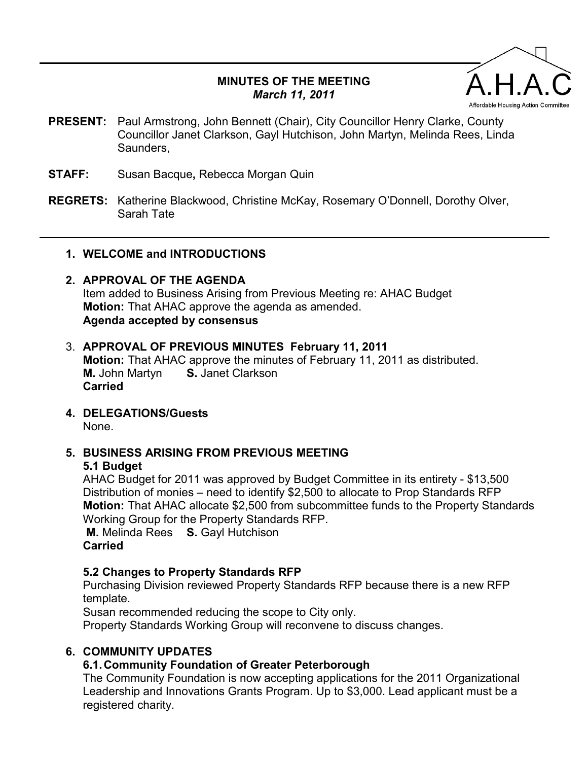## **MINUTES OF THE MEETING**  *March 11, 2011*



- **PRESENT:** Paul Armstrong, John Bennett (Chair), City Councillor Henry Clarke, County Councillor Janet Clarkson, Gayl Hutchison, John Martyn, Melinda Rees, Linda Saunders,
- **STAFF:** Susan Bacque**,** Rebecca Morgan Quin
- **REGRETS:** Katherine Blackwood, Christine McKay, Rosemary O'Donnell, Dorothy Olver, Sarah Tate

#### **1. WELCOME and INTRODUCTIONS**

## **2. APPROVAL OF THE AGENDA**

Item added to Business Arising from Previous Meeting re: AHAC Budget **Motion:** That AHAC approve the agenda as amended. **Agenda accepted by consensus** 

## 3. **APPROVAL OF PREVIOUS MINUTES February 11, 2011**

**Motion:** That AHAC approve the minutes of February 11, 2011 as distributed. **M.** John Martyn **S.** Janet Clarkson **Carried** 

**4. DELEGATIONS/Guests** 

None.

# **5. BUSINESS ARISING FROM PREVIOUS MEETING**

**5.1 Budget** 

AHAC Budget for 2011 was approved by Budget Committee in its entirety - \$13,500 Distribution of monies – need to identify \$2,500 to allocate to Prop Standards RFP **Motion:** That AHAC allocate \$2,500 from subcommittee funds to the Property Standards Working Group for the Property Standards RFP.

 **M.** Melinda Rees **S.** Gayl Hutchison **Carried** 

## **5.2 Changes to Property Standards RFP**

Purchasing Division reviewed Property Standards RFP because there is a new RFP template.

Susan recommended reducing the scope to City only.

Property Standards Working Group will reconvene to discuss changes.

## **6. COMMUNITY UPDATES**

## **6.1. Community Foundation of Greater Peterborough**

The Community Foundation is now accepting applications for the 2011 Organizational Leadership and Innovations Grants Program. Up to \$3,000. Lead applicant must be a registered charity.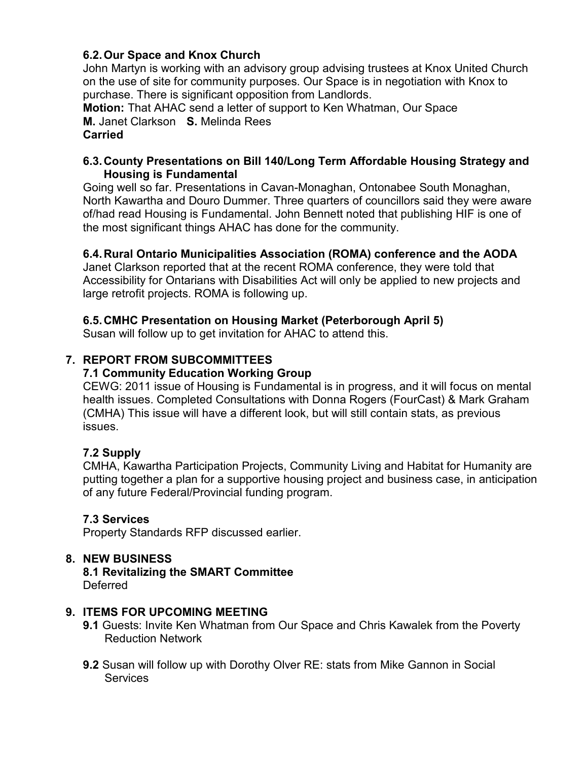## **6.2. Our Space and Knox Church**

John Martyn is working with an advisory group advising trustees at Knox United Church on the use of site for community purposes. Our Space is in negotiation with Knox to purchase. There is significant opposition from Landlords.

**Motion:** That AHAC send a letter of support to Ken Whatman, Our Space **M.** Janet Clarkson **S.** Melinda Rees **Carried** 

#### **6.3. County Presentations on Bill 140/Long Term Affordable Housing Strategy and Housing is Fundamental**

Going well so far. Presentations in Cavan-Monaghan, Ontonabee South Monaghan, North Kawartha and Douro Dummer. Three quarters of councillors said they were aware of/had read Housing is Fundamental. John Bennett noted that publishing HIF is one of the most significant things AHAC has done for the community.

#### **6.4. Rural Ontario Municipalities Association (ROMA) conference and the AODA**

Janet Clarkson reported that at the recent ROMA conference, they were told that Accessibility for Ontarians with Disabilities Act will only be applied to new projects and large retrofit projects. ROMA is following up.

#### **6.5. CMHC Presentation on Housing Market (Peterborough April 5)**

Susan will follow up to get invitation for AHAC to attend this.

## **7. REPORT FROM SUBCOMMITTEES**

#### **7.1 Community Education Working Group**

CEWG: 2011 issue of Housing is Fundamental is in progress, and it will focus on mental health issues. Completed Consultations with Donna Rogers (FourCast) & Mark Graham (CMHA) This issue will have a different look, but will still contain stats, as previous issues.

## **7.2 Supply**

CMHA, Kawartha Participation Projects, Community Living and Habitat for Humanity are putting together a plan for a supportive housing project and business case, in anticipation of any future Federal/Provincial funding program.

#### **7.3 Services**

Property Standards RFP discussed earlier.

## **8. NEW BUSINESS**

**8.1 Revitalizing the SMART Committee**  Deferred

#### **9. ITEMS FOR UPCOMING MEETING**

- **9.1** Guests: Invite Ken Whatman from Our Space and Chris Kawalek from the Poverty Reduction Network
- **9.2** Susan will follow up with Dorothy Olver RE: stats from Mike Gannon in Social **Services**